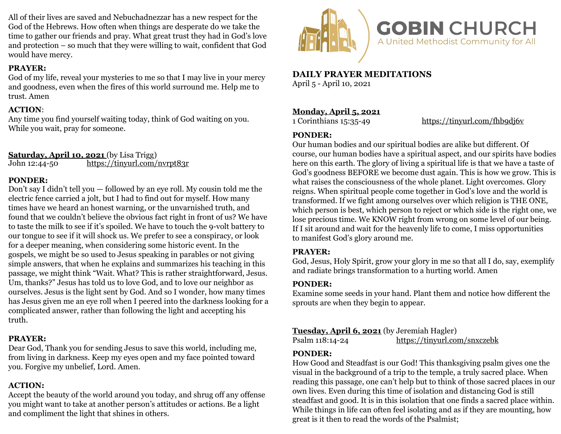All of their lives are saved and Nebuchadnezzar has a new respect for the God of the Hebrews. How often when things are desperate do we take the time to gather our friends and pray. What great trust they had in God's love and protection – so much that they were willing to wait, confident that God would have mercy.

#### **PRAYER:**

God of my life, reveal your mysteries to me so that I may live in your mercy and goodness, even when the fires of this world surround me. Help me to trust. Amen

#### **ACTION**:

Any time you find yourself waiting today, think of God waiting on you. While you wait, pray for someone.

# Saturday, April 10, 2021 (by Lisa Trigg)

John 12:44-50 <https://tinyurl.com/nvrpt83r>

## **PONDER:**

Don't say I didn't tell you — followed by an eye roll. My cousin told me the electric fence carried a jolt, but I had to find out for myself. How many times have we heard an honest warning, or the unvarnished truth, and found that we couldn't believe the obvious fact right in front of us? We have to taste the milk to see if it's spoiled. We have to touch the 9-volt battery to our tongue to see if it will shock us. We prefer to see a conspiracy, or look for a deeper meaning, when considering some historic event. In the gospels, we might be so used to Jesus speaking in parables or not giving simple answers, that when he explains and summarizes his teaching in this passage, we might think "Wait. What? This is rather straightforward, Jesus. Um, thanks?" Jesus has told us to love God, and to love our neighbor as ourselves. Jesus is the light sent by God. And so I wonder, how many times has Jesus given me an eye roll when I peered into the darkness looking for a complicated answer, rather than following the light and accepting his truth.

# **PRAYER:**

Dear God, Thank you for sending Jesus to save this world, including me, from living in darkness. Keep my eyes open and my face pointed toward you. Forgive my unbelief, Lord. Amen.

# **ACTION:**

Accept the beauty of the world around you today, and shrug off any offense you might want to take at another person's attitudes or actions. Be a light and compliment the light that shines in others.



**DAILY PRAYER MEDITATIONS**  April 5 - April 10, 2021

# **Monday, April 5, 2021**

1 Corinthians 15:35-49 <https://tinyurl.com/fhb9dj6v>

#### **PONDER:**

Our human bodies and our spiritual bodies are alike but different. Of course, our human bodies have a spiritual aspect, and our spirits have bodies here on this earth. The glory of living a spiritual life is that we have a taste of God's goodness BEFORE we become dust again. This is how we grow. This is what raises the consciousness of the whole planet. Light overcomes. Glory reigns. When spiritual people come together in God's love and the world is transformed. If we fight among ourselves over which religion is THE ONE, which person is best, which person to reject or which side is the right one, we lose precious time. We KNOW right from wrong on some level of our being. If I sit around and wait for the heavenly life to come, I miss opportunities to manifest God's glory around me.

#### **PRAYER:**

God, Jesus, Holy Spirit, grow your glory in me so that all I do, say, exemplify and radiate brings transformation to a hurting world. Amen

# **PONDER:**

Examine some seeds in your hand. Plant them and notice how different the sprouts are when they begin to appear.

# **Tuesday, April 6, 2021** (by Jeremiah Hagler)

Psalm 118:14-24 <https://tinyurl.com/snxczebk>

# **PONDER:**

How Good and Steadfast is our God! This thanksgiving psalm gives one the visual in the background of a trip to the temple, a truly sacred place. When reading this passage, one can't help but to think of those sacred places in our own lives. Even during this time of isolation and distancing God is still steadfast and good. It is in this isolation that one finds a sacred place within. While things in life can often feel isolating and as if they are mounting, how great is it then to read the words of the Psalmist;